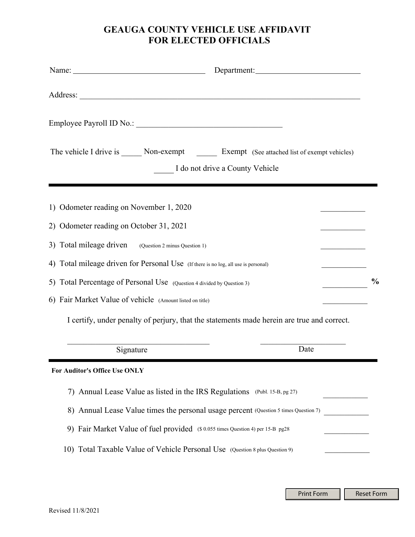## **GEAUGA COUNTY VEHICLE USE AFFIDAVIT FOR ELECTED OFFICIALS**

| Name: $\frac{1}{2}$ Name:                                                                       |                                 |               |
|-------------------------------------------------------------------------------------------------|---------------------------------|---------------|
|                                                                                                 |                                 |               |
|                                                                                                 |                                 |               |
| The vehicle I drive is ______ Non-exempt ________ Exempt (See attached list of exempt vehicles) | I do not drive a County Vehicle |               |
| 1) Odometer reading on November 1, 2020                                                         |                                 |               |
| 2) Odometer reading on October 31, 2021                                                         |                                 |               |
| 3) Total mileage driven (Question 2 minus Question 1)                                           |                                 |               |
| 4) Total mileage driven for Personal Use (If there is no log, all use is personal)              |                                 |               |
| 5) Total Percentage of Personal Use (Question 4 divided by Question 3)                          |                                 | $\frac{0}{0}$ |
| 6) Fair Market Value of vehicle (Amount listed on title)                                        |                                 |               |
| I certify, under penalty of perjury, that the statements made herein are true and correct.      |                                 |               |
| Signature                                                                                       | Date                            |               |
| For Auditor's Office Use ONLY                                                                   |                                 |               |
| Annual Lease Value as listed in the IRS Regulations (Publ. 15-B, pg 27)<br>7)                   |                                 |               |
| 8) Annual Lease Value times the personal usage percent (Question 5 times Question 7)            |                                 |               |
| 9) Fair Market Value of fuel provided (\$0.055 times Question 4) per 15-B pg28                  |                                 |               |
| 10) Total Taxable Value of Vehicle Personal Use (Question 8 plus Question 9)                    |                                 |               |